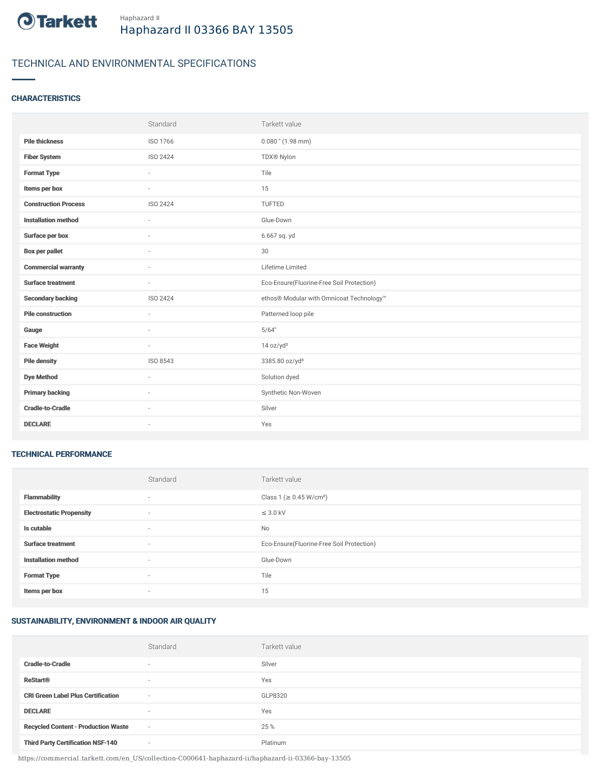

# TECHNICAL AND ENVIRONMENTAL SPECIFICATIONS

### **CHARACTERISTICS**

|                             | Standard        | Tarkett value                             |
|-----------------------------|-----------------|-------------------------------------------|
| <b>Pile thickness</b>       | ISO 1766        | $0.080$ " (1.98 mm)                       |
| <b>Fiber System</b>         | ISO 2424        | TDX® Nylon                                |
| <b>Format Type</b>          | ×               | Tile                                      |
| Items per box               |                 | 15                                        |
| <b>Construction Process</b> | <b>ISO 2424</b> | <b>TUFTED</b>                             |
| <b>Installation method</b>  | ÷               | Glue-Down                                 |
| Surface per box             | $\sim$          | 6.667 sq. yd                              |
| <b>Box per pallet</b>       | ×.              | 30                                        |
| <b>Commercial warranty</b>  | $\sim$          | Lifetime Limited                          |
|                             |                 |                                           |
| <b>Surface treatment</b>    | $\sim$          | Eco-Ensure(Fluorine-Free Soil Protection) |
| <b>Secondary backing</b>    | ISO 2424        | ethos® Modular with Omnicoat Technology™  |
| <b>Pile construction</b>    | $\sim$          | Patterned loop pile                       |
| Gauge                       | ×.              | 5/64"                                     |
| <b>Face Weight</b>          | $\sim$          | 14 oz/yd <sup>2</sup>                     |
| <b>Pile density</b>         | ISO 8543        | 3385.80 oz/yd <sup>3</sup>                |
| <b>Dye Method</b>           | $\sim$          | Solution dyed                             |
| <b>Primary backing</b>      | ×.              | Synthetic Non-Woven                       |
| <b>Cradle-to-Cradle</b>     |                 | Silver                                    |

#### TECHNICAL PERFORMANCE

|                                 | Standard | Tarkett value                             |
|---------------------------------|----------|-------------------------------------------|
| <b>Flammability</b>             | $\sim$   | Class 1 (≥ 0.45 W/cm <sup>2</sup> )       |
| <b>Electrostatic Propensity</b> | $\sim$   | $\leq$ 3.0 kV                             |
| Is cutable                      | $\sim$   | No                                        |
| <b>Surface treatment</b>        | $\sim$   | Eco-Ensure(Fluorine-Free Soil Protection) |
| <b>Installation method</b>      | $\sim$   | Glue-Down                                 |
| <b>Format Type</b>              |          | Tile                                      |
| Items per box                   | $\sim$   | 15                                        |

## SUSTAINABILITY, ENVIRONMENT & INDOOR AIR QUALITY

|                                            | Standard                 | Tarkett value |
|--------------------------------------------|--------------------------|---------------|
| <b>Cradle-to-Cradle</b>                    | $\overline{\phantom{a}}$ | Silver        |
| <b>ReStart®</b>                            | $\overline{\phantom{a}}$ | Yes           |
| <b>CRI Green Label Plus Certification</b>  | $\overline{\phantom{a}}$ | GLP8320       |
| <b>DECLARE</b>                             | $\overline{\phantom{a}}$ | Yes           |
| <b>Recycled Content - Production Waste</b> | $\sim$                   | 25 %          |
| <b>Third Party Certification NSF-140</b>   | $\sim$                   | Platinum      |

https://commercial.tarkett.com/en\_US/collection-C000641-haphazard-ii/haphazard-ii-03366-bay-13505